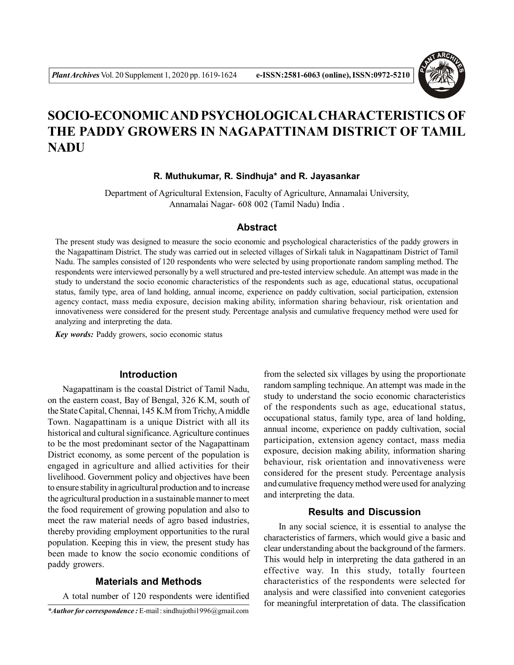

# **SOCIO-ECONOMIC AND PSYCHOLOGICAL CHARACTERISTICS OF THE PADDY GROWERS IN NAGAPATTINAM DISTRICT OF TAMIL NADU**

## **R. Muthukumar, R. Sindhuja\* and R. Jayasankar**

Department of Agricultural Extension, Faculty of Agriculture, Annamalai University, Annamalai Nagar- 608 002 (Tamil Nadu) India .

## **Abstract**

The present study was designed to measure the socio economic and psychological characteristics of the paddy growers in the Nagapattinam District. The study was carried out in selected villages of Sirkali taluk in Nagapattinam District of Tamil Nadu. The samples consisted of 120 respondents who were selected by using proportionate random sampling method. The respondents were interviewed personally by a well structured and pre-tested interview schedule. An attempt was made in the study to understand the socio economic characteristics of the respondents such as age, educational status, occupational status, family type, area of land holding, annual income, experience on paddy cultivation, social participation, extension agency contact, mass media exposure, decision making ability, information sharing behaviour, risk orientation and innovativeness were considered for the present study. Percentage analysis and cumulative frequency method were used for analyzing and interpreting the data.

*Key words:* Paddy growers, socio economic status

## **Introduction**

Nagapattinam is the coastal District of Tamil Nadu, on the eastern coast, Bay of Bengal, 326 K.M, south of the State Capital, Chennai, 145 K.M from Trichy, A middle Town. Nagapattinam is a unique District with all its historical and cultural significance. Agriculture continues to be the most predominant sector of the Nagapattinam District economy, as some percent of the population is engaged in agriculture and allied activities for their livelihood. Government policy and objectives have been to ensure stability in agricultural production and to increase the agricultural production in a sustainable manner to meet the food requirement of growing population and also to meet the raw material needs of agro based industries, thereby providing employment opportunities to the rural population. Keeping this in view, the present study has been made to know the socio economic conditions of paddy growers.

## **Materials and Methods**

A total number of 120 respondents were identified

from the selected six villages by using the proportionate random sampling technique. An attempt was made in the study to understand the socio economic characteristics of the respondents such as age, educational status, occupational status, family type, area of land holding, annual income, experience on paddy cultivation, social participation, extension agency contact, mass media exposure, decision making ability, information sharing behaviour, risk orientation and innovativeness were considered for the present study. Percentage analysis and cumulative frequency method were used for analyzing and interpreting the data.

## **Results and Discussion**

In any social science, it is essential to analyse the characteristics of farmers, which would give a basic and clear understanding about the background of the farmers. This would help in interpreting the data gathered in an effective way. In this study, totally fourteen characteristics of the respondents were selected for analysis and were classified into convenient categories for meaningful interpretation of data. The classification

*<sup>\*</sup>Author for correspondence :* E-mail : sindhujothi1996@gmail.com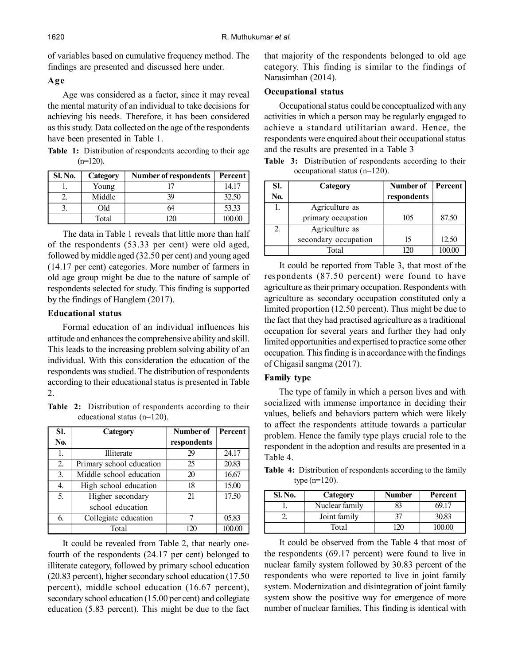of variables based on cumulative frequency method. The findings are presented and discussed here under.

## **Age**

Age was considered as a factor, since it may reveal the mental maturity of an individual to take decisions for achieving his needs. Therefore, it has been considered as this study. Data collected on the age of the respondents have been presented in Table 1.

**Table 1:** Distribution of respondents according to their age  $(n=120)$ .

| <b>Sl. No.</b> | Category | <b>Number of respondents</b> | Percent |
|----------------|----------|------------------------------|---------|
|                | Young    |                              | 14.17   |
|                | Middle   | 39                           | 32.50   |
| C.             | Old      |                              | 53.33   |
|                | Total    |                              | 100.00  |

The data in Table 1 reveals that little more than half of the respondents (53.33 per cent) were old aged, followed by middle aged (32.50 per cent) and young aged (14.17 per cent) categories. More number of farmers in old age group might be due to the nature of sample of respondents selected for study. This finding is supported by the findings of Hanglem (2017).

## **Educational status**

Formal education of an individual influences his attitude and enhances the comprehensive ability and skill. This leads to the increasing problem solving ability of an individual. With this consideration the education of the respondents was studied. The distribution of respondents according to their educational status is presented in Table 2.

**Table 2:** Distribution of respondents according to their educational status (n=120).

| SI.              | Category                 | Number of   | Percent |
|------------------|--------------------------|-------------|---------|
| No.              |                          | respondents |         |
| 1.               | Illiterate               | 29          | 24.17   |
| 2.               | Primary school education | 25          | 20.83   |
| 3 <sub>1</sub>   | Middle school education  | 20          | 16.67   |
| $\overline{4}$ . | High school education    | 18          | 15.00   |
| 5.               | Higher secondary         | 21          | 17.50   |
|                  | school education         |             |         |
| 6.               | Collegiate education     |             | 05.83   |
|                  | Total                    | 120         | 100.00  |

It could be revealed from Table 2, that nearly onefourth of the respondents (24.17 per cent) belonged to illiterate category, followed by primary school education (20.83 percent), higher secondary school education (17.50 percent), middle school education (16.67 percent), secondary school education (15.00 per cent) and collegiate education (5.83 percent). This might be due to the fact

that majority of the respondents belonged to old age category. This finding is similar to the findings of Narasimhan (2014).

## **Occupational status**

Occupational status could be conceptualized with any activities in which a person may be regularly engaged to achieve a standard utilitarian award. Hence, the respondents were enquired about their occupational status and the results are presented in a Table 3

**Table 3:** Distribution of respondents according to their occupational status (n=120).

| SI. | Category             | Number of   | Percent |
|-----|----------------------|-------------|---------|
| No. |                      | respondents |         |
| 1.  | Agriculture as       |             |         |
|     | primary occupation   | 105         | 87.50   |
| 2.  | Agriculture as       |             |         |
|     | secondary occupation | 15          | 12.50   |
|     | Total                |             |         |

It could be reported from Table 3, that most of the respondents (87.50 percent) were found to have agriculture as their primary occupation. Respondents with agriculture as secondary occupation constituted only a limited proportion (12.50 percent). Thus might be due to the fact that they had practised agriculture as a traditional occupation for several years and further they had only limited opportunities and expertised to practice some other occupation. This finding is in accordance with the findings of Chigasil sangma (2017).

## **Family type**

The type of family in which a person lives and with socialized with immense importance in deciding their values, beliefs and behaviors pattern which were likely to affect the respondents attitude towards a particular problem. Hence the family type plays crucial role to the respondent in the adoption and results are presented in a Table 4.

**Table 4:** Distribution of respondents according to the family type (n=120).

| Sl. No. | Category       | <b>Number</b> | Percent |
|---------|----------------|---------------|---------|
|         | Nuclear family |               | 69 17   |
|         | Joint family   |               | 30.83   |
|         | Total          | '20           | 100.00  |

It could be observed from the Table 4 that most of the respondents (69.17 percent) were found to live in nuclear family system followed by 30.83 percent of the respondents who were reported to live in joint family system. Modernization and disintegration of joint family system show the positive way for emergence of more number of nuclear families. This finding is identical with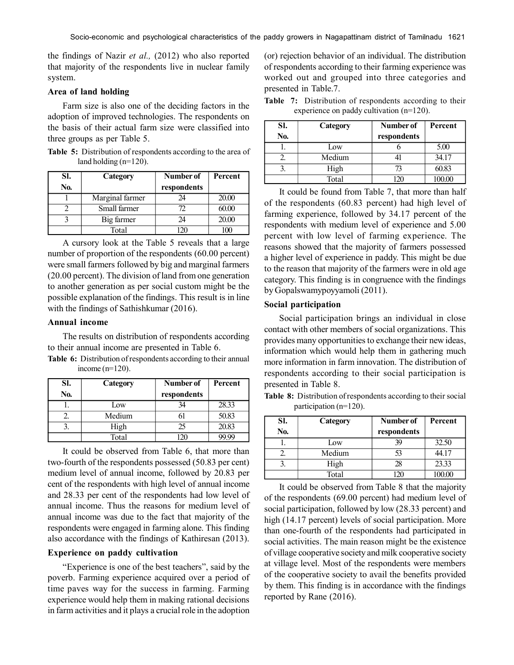the findings of Nazir *et al.,* (2012) who also reported that majority of the respondents live in nuclear family system.

## **Area of land holding**

Farm size is also one of the deciding factors in the adoption of improved technologies. The respondents on the basis of their actual farm size were classified into three groups as per Table 5.

**Table 5:** Distribution of respondents according to the area of land holding (n=120).

| SI. | Category        | Number of   | Percent |
|-----|-----------------|-------------|---------|
| No. |                 | respondents |         |
|     | Marginal farmer | 74          | 20.00   |
|     | Small farmer    | 72          | 60.00   |
|     | Big farmer      | 24          | 20.00   |
|     | Total           |             |         |

A cursory look at the Table 5 reveals that a large number of proportion of the respondents (60.00 percent) were small farmers followed by big and marginal farmers (20.00 percent). The division of land from one generation to another generation as per social custom might be the possible explanation of the findings. This result is in line with the findings of Sathishkumar (2016).

#### **Annual income**

The results on distribution of respondents according to their annual income are presented in Table 6.

**Table 6:** Distribution of respondents according to their annual income (n=120).

| SI. | Category | Number of   | Percent |
|-----|----------|-------------|---------|
| No. |          | respondents |         |
|     | Low      |             | 28.33   |
|     | Medium   |             | 50.83   |
|     | High     | 25          | 20.83   |
|     | Total    |             |         |

It could be observed from Table 6, that more than two-fourth of the respondents possessed (50.83 per cent) medium level of annual income, followed by 20.83 per cent of the respondents with high level of annual income and 28.33 per cent of the respondents had low level of annual income. Thus the reasons for medium level of annual income was due to the fact that majority of the respondents were engaged in farming alone. This finding also accordance with the findings of Kathiresan (2013).

#### **Experience on paddy cultivation**

"Experience is one of the best teachers", said by the poverb. Farming experience acquired over a period of time paves way for the success in farming. Farming experience would help them in making rational decisions in farm activities and it plays a crucial role in the adoption

(or) rejection behavior of an individual. The distribution of respondents according to their farming experience was worked out and grouped into three categories and presented in Table.7.

| SI.<br>No. | Category | Number of<br>respondents | Percent |
|------------|----------|--------------------------|---------|
|            | Low      |                          | 5.00    |
|            | Medium   |                          | 34.17   |
| 2          | High     | $\sqrt{3}$               | 60.83   |
|            | Total    |                          |         |

**Table 7:** Distribution of respondents according to their experience on paddy cultivation (n=120).

It could be found from Table 7, that more than half of the respondents (60.83 percent) had high level of farming experience, followed by 34.17 percent of the respondents with medium level of experience and 5.00 percent with low level of farming experience. The reasons showed that the majority of farmers possessed a higher level of experience in paddy. This might be due to the reason that majority of the farmers were in old age category. This finding is in congruence with the findings by Gopalswamypoyyamoli (2011).

## **Social participation**

Social participation brings an individual in close contact with other members of social organizations. This provides many opportunities to exchange their new ideas, information which would help them in gathering much more information in farm innovation. The distribution of respondents according to their social participation is presented in Table 8.

**Table 8:** Distribution of respondents according to their social participation (n=120).

| SI.<br>No. | Category | Number of<br>respondents | Percent |
|------------|----------|--------------------------|---------|
|            | Low      | 39                       | 32.50   |
|            | Medium   | 53                       | 44.17   |
|            | High     | 28                       | 23.33   |
|            | Total    |                          |         |

It could be observed from Table 8 that the majority of the respondents (69.00 percent) had medium level of social participation, followed by low (28.33 percent) and high (14.17 percent) levels of social participation. More than one-fourth of the respondents had participated in social activities. The main reason might be the existence of village cooperative society and milk cooperative society at village level. Most of the respondents were members of the cooperative society to avail the benefits provided by them. This finding is in accordance with the findings reported by Rane (2016).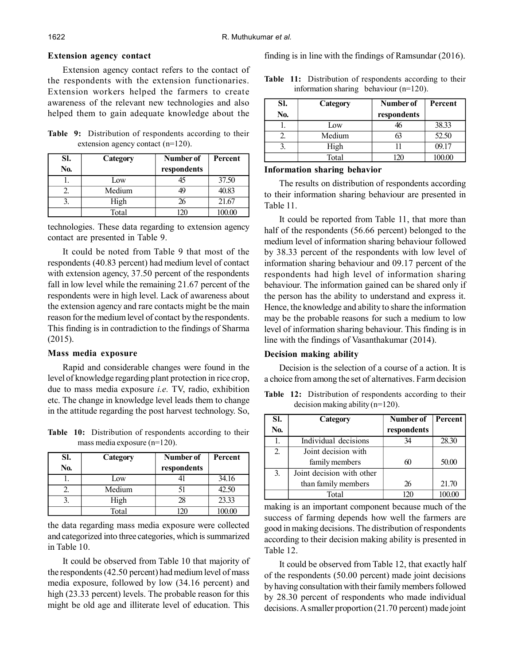#### **Extension agency contact**

Extension agency contact refers to the contact of the respondents with the extension functionaries. Extension workers helped the farmers to create awareness of the relevant new technologies and also helped them to gain adequate knowledge about the

**Table 9:** Distribution of respondents according to their extension agency contact (n=120).

| SI. | Category | Number of   | Percent |
|-----|----------|-------------|---------|
| No. |          | respondents |         |
|     | Low      | 45          | 37.50   |
|     | Medium   | 49          | 40.83   |
|     | High     | 26          | 21.67   |
|     | Total    |             | 100.00  |

technologies. These data regarding to extension agency contact are presented in Table 9.

It could be noted from Table 9 that most of the respondents (40.83 percent) had medium level of contact with extension agency, 37.50 percent of the respondents fall in low level while the remaining 21.67 percent of the respondents were in high level. Lack of awareness about the extension agency and rare contacts might be the main reason for the medium level of contact by the respondents. This finding is in contradiction to the findings of Sharma (2015).

### **Mass media exposure**

Rapid and considerable changes were found in the level of knowledge regarding plant protection in rice crop, due to mass media exposure *i.e.* TV, radio, exhibition etc. The change in knowledge level leads them to change in the attitude regarding the post harvest technology. So,

**Table 10:** Distribution of respondents according to their mass media exposure (n=120).

| SI.<br>No. | Category | Number of<br>respondents | Percent |
|------------|----------|--------------------------|---------|
|            | Low      |                          | 34.16   |
|            | Medium   |                          | 42.50   |
|            | High     | 28                       | 23.33   |
|            | Total    |                          |         |

the data regarding mass media exposure were collected and categorized into three categories, which is summarized in Table 10.

It could be observed from Table 10 that majority of the respondents (42.50 percent) had medium level of mass media exposure, followed by low (34.16 percent) and high (23.33 percent) levels. The probable reason for this might be old age and illiterate level of education. This

finding is in line with the findings of Ramsundar (2016).

**Table 11:** Distribution of respondents according to their information sharing behaviour (n=120).

| SI.<br>No. | Category | Number of<br>respondents | Percent |
|------------|----------|--------------------------|---------|
|            | Low      |                          | 38.33   |
|            | Medium   |                          | 52.50   |
|            | High     |                          | 09.17   |
|            | Total    |                          | 100.00  |

#### **Information sharing behavior**

The results on distribution of respondents according to their information sharing behaviour are presented in Table 11.

It could be reported from Table 11, that more than half of the respondents (56.66 percent) belonged to the medium level of information sharing behaviour followed by 38.33 percent of the respondents with low level of information sharing behaviour and 09.17 percent of the respondents had high level of information sharing behaviour. The information gained can be shared only if the person has the ability to understand and express it. Hence, the knowledge and ability to share the information may be the probable reasons for such a medium to low level of information sharing behaviour. This finding is in line with the findings of Vasanthakumar (2014).

#### **Decision making ability**

Decision is the selection of a course of a action. It is a choice from among the set of alternatives. Farm decision

**Table 12:** Distribution of respondents according to their decision making ability (n=120).

| SI. | Category                  | Number of   | Percent |
|-----|---------------------------|-------------|---------|
| No. |                           | respondents |         |
| 1.  | Individual decisions      | 34          | 28.30   |
| 2.  | Joint decision with       |             |         |
|     | family members            | 60          | 50.00   |
| 3.  | Joint decision with other |             |         |
|     | than family members       | 26          | 21.70   |
|     | Total                     |             |         |

making is an important component because much of the success of farming depends how well the farmers are good in making decisions. The distribution of respondents according to their decision making ability is presented in Table 12.

It could be observed from Table 12, that exactly half of the respondents (50.00 percent) made joint decisions by having consultation with their family members followed by 28.30 percent of respondents who made individual decisions. A smaller proportion (21.70 percent) made joint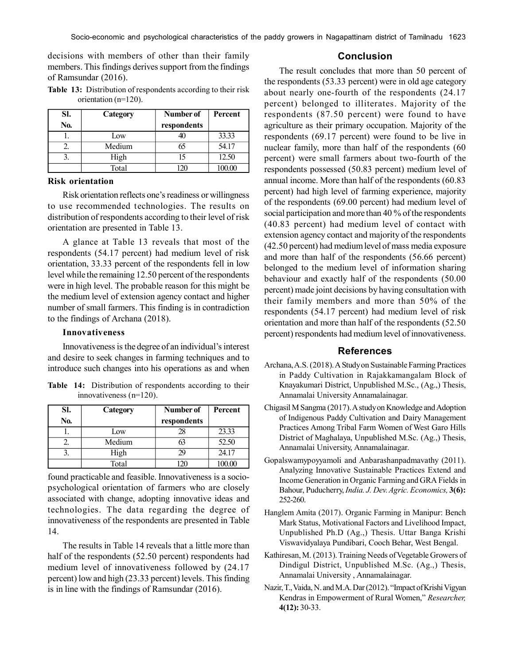decisions with members of other than their family members. This findings derives support from the findings of Ramsundar (2016).

**Table 13:** Distribution of respondents according to their risk orientation (n=120).

| SI. | Category | Number of   | Percent |
|-----|----------|-------------|---------|
| No. |          | respondents |         |
|     | Low      |             | 33.33   |
|     | Medium   | 65          | 54.17   |
|     | High     | 15          | 12.50   |
|     | Total    |             |         |

#### **Risk orientation**

Risk orientation reflects one's readiness or willingness to use recommended technologies. The results on distribution of respondents according to their level of risk orientation are presented in Table 13.

A glance at Table 13 reveals that most of the respondents (54.17 percent) had medium level of risk orientation, 33.33 percent of the respondents fell in low level while the remaining 12.50 percent of the respondents were in high level. The probable reason for this might be the medium level of extension agency contact and higher number of small farmers. This finding is in contradiction to the findings of Archana (2018).

## **Innovativeness**

Innovativeness is the degree of an individual's interest and desire to seek changes in farming techniques and to introduce such changes into his operations as and when

|  |                            | <b>Table 14:</b> Distribution of respondents according to their |  |  |
|--|----------------------------|-----------------------------------------------------------------|--|--|
|  | innovativeness $(n=120)$ . |                                                                 |  |  |

| SI. | Category | Number of   | Percent |
|-----|----------|-------------|---------|
| No. |          | respondents |         |
|     | Low      | 28          | 23.33   |
|     | Medium   |             | 52.50   |
|     | High     | 29          | 24.17   |
|     | Total    |             |         |

found practicable and feasible. Innovativeness is a sociopsychological orientation of farmers who are closely associated with change, adopting innovative ideas and technologies. The data regarding the degree of innovativeness of the respondents are presented in Table 14.

The results in Table 14 reveals that a little more than half of the respondents (52.50 percent) respondents had medium level of innovativeness followed by (24.17 percent) low and high (23.33 percent) levels. This finding is in line with the findings of Ramsundar (2016).

## **Conclusion**

The result concludes that more than 50 percent of the respondents (53.33 percent) were in old age category about nearly one-fourth of the respondents (24.17 percent) belonged to illiterates. Majority of the respondents (87.50 percent) were found to have agriculture as their primary occupation. Majority of the respondents (69.17 percent) were found to be live in nuclear family, more than half of the respondents (60 percent) were small farmers about two-fourth of the respondents possessed (50.83 percent) medium level of annual income. More than half of the respondents (60.83 percent) had high level of farming experience, majority of the respondents (69.00 percent) had medium level of social participation and more than 40 % of the respondents (40.83 percent) had medium level of contact with extension agency contact and majority of the respondents (42.50 percent) had medium level of mass media exposure and more than half of the respondents (56.66 percent) belonged to the medium level of information sharing behaviour and exactly half of the respondents (50.00 percent) made joint decisions by having consultation with their family members and more than 50% of the respondents (54.17 percent) had medium level of risk orientation and more than half of the respondents (52.50 percent) respondents had medium level of innovativeness.

## **References**

- Archana, A.S. (2018). A Study on Sustainable Farming Practices in Paddy Cultivation in Rajakkamangalam Block of Knayakumari District, Unpublished M.Sc., (Ag.,) Thesis, Annamalai University Annamalainagar.
- Chigasil M Sangma (2017). A study on Knowledge and Adoption of Indigenous Paddy Cultivation and Dairy Management Practices Among Tribal Farm Women of West Garo Hills District of Maghalaya, Unpublished M.Sc. (Ag.,) Thesis, Annamalai University, Annamalainagar.
- Gopalswamypoyyamoli and Anbarashanpadmavathy (2011). Analyzing Innovative Sustainable Practices Extend and Income Generation in Organic Farming and GRA Fields in Bahour, Puducherry, *India. J. Dev. Agric. Economics,* **3(6):** 252-260.
- Hanglem Amita (2017). Organic Farming in Manipur: Bench Mark Status, Motivational Factors and Livelihood Impact, Unpublished Ph.D (Ag.,) Thesis. Uttar Banga Krishi Viswavidyalaya Pundibari, Cooch Behar, West Bengal.
- Kathiresan, M. (2013). Training Needs of Vegetable Growers of Dindigul District, Unpublished M.Sc. (Ag.,) Thesis, Annamalai University , Annamalainagar.
- Nazir, T., Vaida, N. and M.A. Dar (2012). "Impact of Krishi Vigyan Kendras in Empowerment of Rural Women," *Researcher,* **4(12):** 30-33.